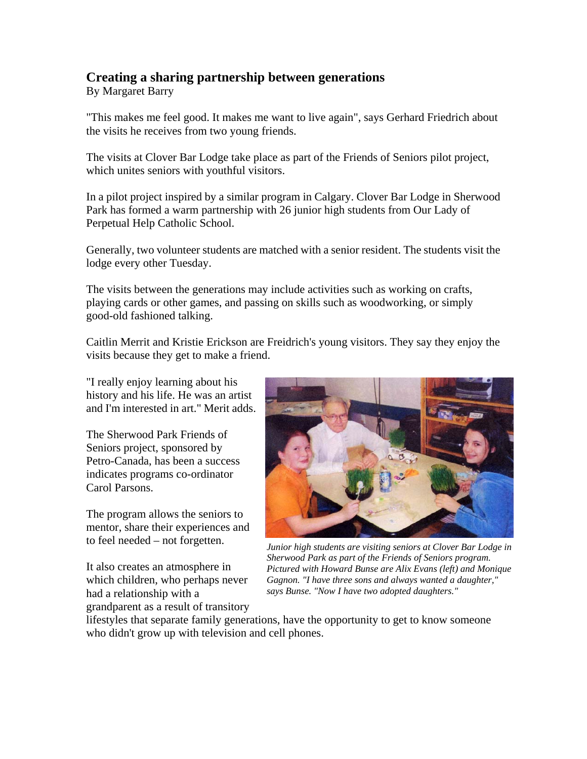## **Creating a sharing partnership between generations**

By Margaret Barry

"This makes me feel good. It makes me want to live again", says Gerhard Friedrich about the visits he receives from two young friends.

The visits at Clover Bar Lodge take place as part of the Friends of Seniors pilot project, which unites seniors with youthful visitors.

In a pilot project inspired by a similar program in Calgary. Clover Bar Lodge in Sherwood Park has formed a warm partnership with 26 junior high students from Our Lady of Perpetual Help Catholic School.

Generally, two volunteer students are matched with a senior resident. The students visit the lodge every other Tuesday.

The visits between the generations may include activities such as working on crafts, playing cards or other games, and passing on skills such as woodworking, or simply good-old fashioned talking.

Caitlin Merrit and Kristie Erickson are Freidrich's young visitors. They say they enjoy the visits because they get to make a friend.

"I really enjoy learning about his history and his life. He was an artist and I'm interested in art." Merit adds.

The Sherwood Park Friends of Seniors project, sponsored by Petro-Canada, has been a success indicates programs co-ordinator Carol Parsons.

The program allows the seniors to mentor, share their experiences and

It also creates an atmosphere in which children, who perhaps never had a relationship with a grandparent as a result of transitory



to feel needed – not forgetten. *Junior high students are visiting seniors at Clover Bar Lodge in Sherwood Park as part of the Friends of Seniors program. Pictured with Howard Bunse are Alix Evans (left) and Monique Gagnon. "I have three sons and always wanted a daughter," says Bunse. "Now I have two adopted daughters."*

lifestyles that separate family generations, have the opportunity to get to know someone who didn't grow up with television and cell phones.